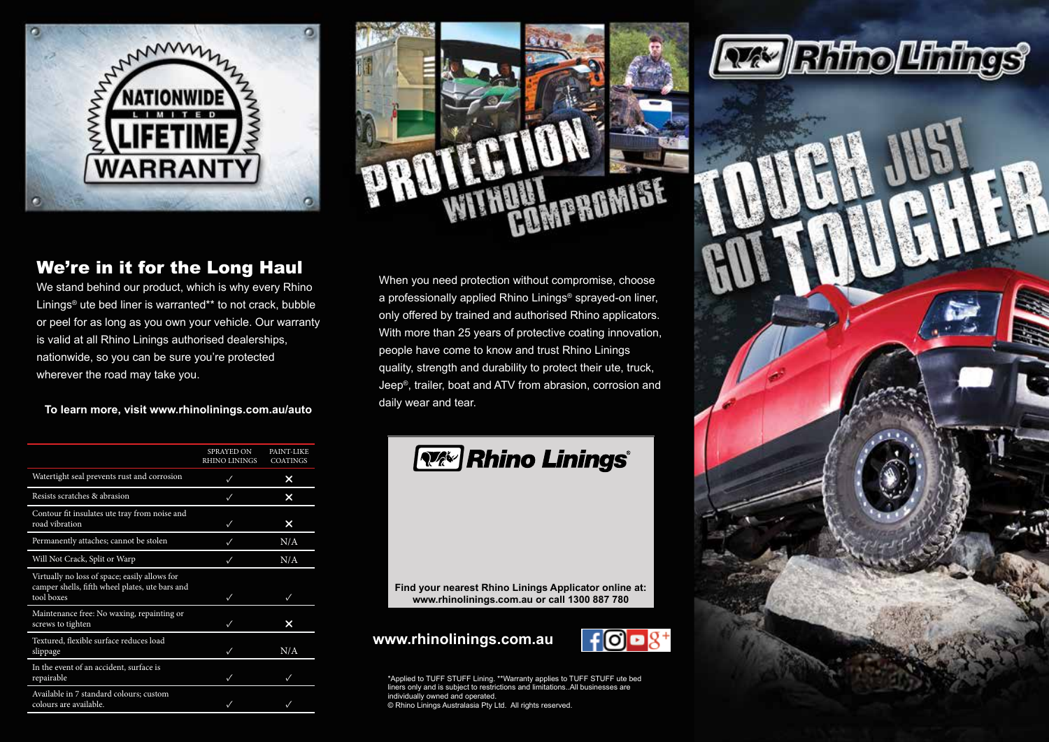



### We're in it for the Long Haul

We stand behind our product, which is why every Rhino Linings<sup>®</sup> ute bed liner is warranted\*\* to not crack, bubble or peel for as long as you own your vehicle. Our warranty is valid at all Rhino Linings authorised dealerships, nationwide, so you can be sure you're protected wherever the road may take you.

**To learn more, visit www.rhinolinings.com.au/auto**

|                                                                                                                | <b>SPRAYED ON</b><br><b>RHINO LININGS</b> | PAINT-LIKE<br><b>COATINGS</b> |
|----------------------------------------------------------------------------------------------------------------|-------------------------------------------|-------------------------------|
| Watertight seal prevents rust and corrosion                                                                    |                                           | ×                             |
| Resists scratches & abrasion                                                                                   |                                           | x                             |
| Contour fit insulates ute tray from noise and<br>road vibration                                                | $\checkmark$                              | ×                             |
| Permanently attaches; cannot be stolen                                                                         | $\checkmark$                              | N/A                           |
| Will Not Crack, Split or Warp                                                                                  |                                           | N/A                           |
| Virtually no loss of space; easily allows for<br>camper shells, fifth wheel plates, ute bars and<br>tool boxes | $\checkmark$                              | ✓                             |
| Maintenance free: No waxing, repainting or<br>screws to tighten                                                |                                           | ×                             |
| Textured, flexible surface reduces load<br>slippage                                                            | $\cdot$                                   | N/A                           |
| In the event of an accident, surface is<br>repairable                                                          | $\checkmark$                              | ✓                             |
| Available in 7 standard colours; custom<br>colours are available.                                              |                                           |                               |

When you need protection without compromise, choose a professionally applied Rhino Linings® sprayed-on liner, only offered by trained and authorised Rhino applicators. With more than 25 years of protective coating innovation, people have come to know and trust Rhino Linings quality, strength and durability to protect their ute, truck, Jeep®, trailer, boat and ATV from abrasion, corrosion and daily wear and tear.



**Find your nearest Rhino Linings Applicator online at: www.rhinolinings.com.au or call 1300 887 780**

### **www.rhinolinings.com.au**



\*Applied to TUFF STUFF Lining. \*\*Warranty applies to TUFF STUFF ute bed liners only and is subject to restrictions and limitations..All businesses are individually owned and operated. © Rhino Linings Australasia Pty Ltd. All rights reserved.